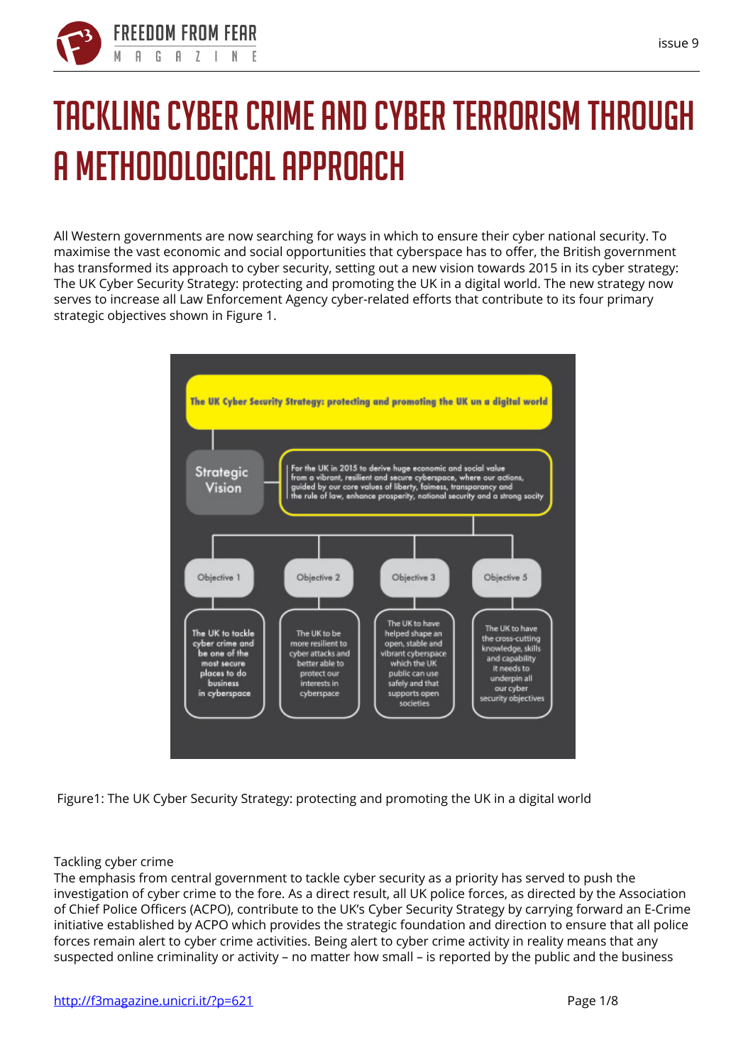

# **Tackling cyber crime and cyber terrorism through a methodological approach**

All Western governments are now searching for ways in which to ensure their cyber national security. To maximise the vast economic and social opportunities that cyberspace has to offer, the British government has transformed its approach to cyber security, setting out a new vision towards 2015 in its cyber strategy: The UK Cyber Security Strategy: protecting and promoting the UK in a digital world. The new strategy now serves to increase all Law Enforcement Agency cyber-related efforts that contribute to its four primary strategic objectives shown in Figure 1.



**Figure1: The UK Cyber Security Strategy: protecting and promoting the UK in a digital world**

## **Tackling cyber crime**

The emphasis from central government to tackle cyber security as a priority has served to push the investigation of cyber crime to the fore. As a direct result, all UK police forces, as directed by the Association of Chief Police Officers (ACPO), contribute to the UK's Cyber Security Strategy by carrying forward an E-Crime initiative established by ACPO which provides the strategic foundation and direction to ensure that all police forces remain alert to cyber crime activities. Being alert to cyber crime activity in reality means that any suspected online criminality or activity – no matter how small – is reported by the public and the business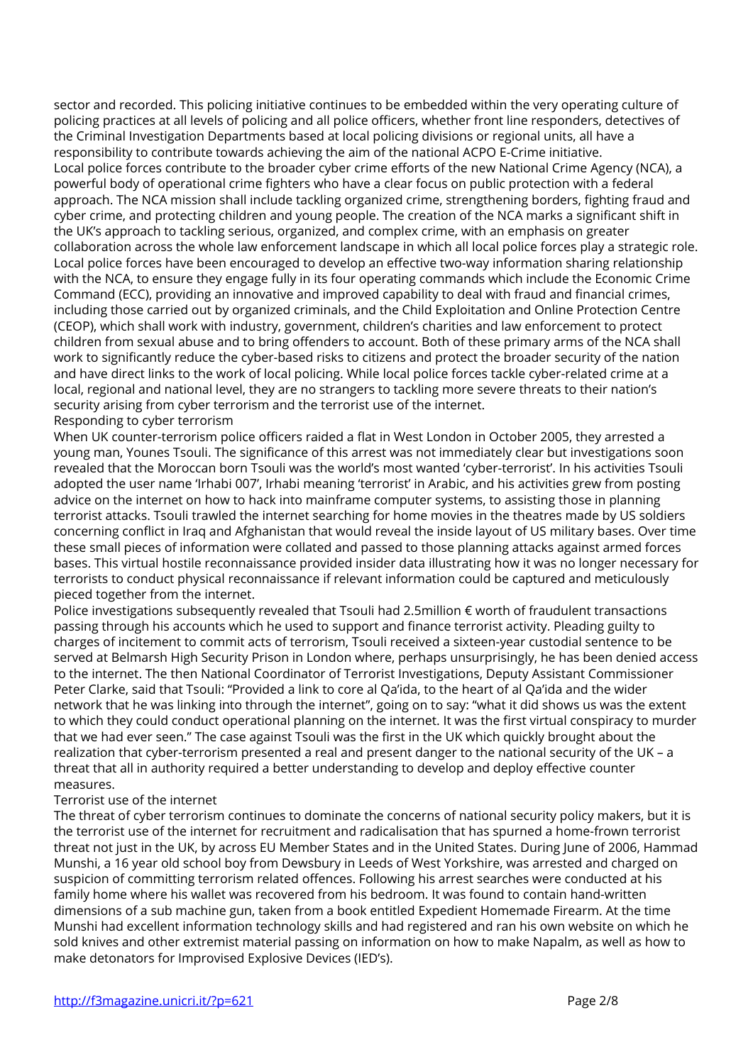sector and recorded. This policing initiative continues to be embedded within the very operating culture of policing practices at all levels of policing and all police officers, whether front line responders, detectives of the Criminal Investigation Departments based at local policing divisions or regional units, all have a responsibility to contribute towards achieving the aim of the national ACPO E-Crime initiative. Local police forces contribute to the broader cyber crime efforts of the new National Crime Agency (NCA), a powerful body of operational crime fighters who have a clear focus on public protection with a federal approach. The NCA mission shall include tackling organized crime, strengthening borders, fighting fraud and cyber crime, and protecting children and young people. The creation of the NCA marks a significant shift in the UK's approach to tackling serious, organized, and complex crime, with an emphasis on greater collaboration across the whole law enforcement landscape in which all local police forces play a strategic role. Local police forces have been encouraged to develop an effective two-way information sharing relationship with the NCA, to ensure they engage fully in its four operating commands which include the Economic Crime Command (ECC), providing an innovative and improved capability to deal with fraud and financial crimes, including those carried out by organized criminals, and the Child Exploitation and Online Protection Centre (CEOP), which shall work with industry, government, children's charities and law enforcement to protect children from sexual abuse and to bring offenders to account. Both of these primary arms of the NCA shall work to significantly reduce the cyber-based risks to citizens and protect the broader security of the nation and have direct links to the work of local policing. While local police forces tackle cyber-related crime at a local, regional and national level, they are no strangers to tackling more severe threats to their nation's security arising from cyber terrorism and the terrorist use of the internet. **Responding to cyber terrorism**

When UK counter-terrorism police officers raided a flat in West London in October 2005, they arrested a young man, Younes Tsouli. The significance of this arrest was not immediately clear but investigations soon revealed that the Moroccan born Tsouli was the world's most wanted 'cyber-terrorist'. In his activities Tsouli adopted the user name 'Irhabi 007', Irhabi meaning 'terrorist' in Arabic, and his activities grew from posting advice on the internet on how to hack into mainframe computer systems, to assisting those in planning terrorist attacks. Tsouli trawled the internet searching for home movies in the theatres made by US soldiers concerning conflict in Iraq and Afghanistan that would reveal the inside layout of US military bases. Over time these small pieces of information were collated and passed to those planning attacks against armed forces bases. This virtual hostile reconnaissance provided insider data illustrating how it was no longer necessary for terrorists to conduct physical reconnaissance if relevant information could be captured and meticulously pieced together from the internet.

Police investigations subsequently revealed that Tsouli had 2.5million € worth of fraudulent transactions passing through his accounts which he used to support and finance terrorist activity. Pleading guilty to charges of incitement to commit acts of terrorism, Tsouli received a sixteen-year custodial sentence to be served at Belmarsh High Security Prison in London where, perhaps unsurprisingly, he has been denied access to the internet. The then National Coordinator of Terrorist Investigations, Deputy Assistant Commissioner Peter Clarke, said that Tsouli: "Provided a link to core al Qa'ida, to the heart of al Qa'ida and the wider network that he was linking into through the internet", going on to say: "what it did shows us was the extent to which they could conduct operational planning on the internet. It was the first virtual conspiracy to murder that we had ever seen." The case against Tsouli was the first in the UK which quickly brought about the realization that cyber-terrorism presented a real and present danger to the national security of the UK – a threat that all in authority required a better understanding to develop and deploy effective counter measures.

## **Terrorist use of the internet**

The threat of cyber terrorism continues to dominate the concerns of national security policy makers, but it is the terrorist use of the internet for recruitment and radicalisation that has spurned a home-frown terrorist threat not just in the UK, by across EU Member States and in the United States. During June of 2006, Hammad Munshi, a 16 year old school boy from Dewsbury in Leeds of West Yorkshire, was arrested and charged on suspicion of committing terrorism related offences. Following his arrest searches were conducted at his family home where his wallet was recovered from his bedroom. It was found to contain hand-written dimensions of a sub machine gun, taken from a book entitled Expedient Homemade Firearm. At the time Munshi had excellent information technology skills and had registered and ran his own website on which he sold knives and other extremist material passing on information on how to make Napalm, as well as how to make detonators for Improvised Explosive Devices (IED's).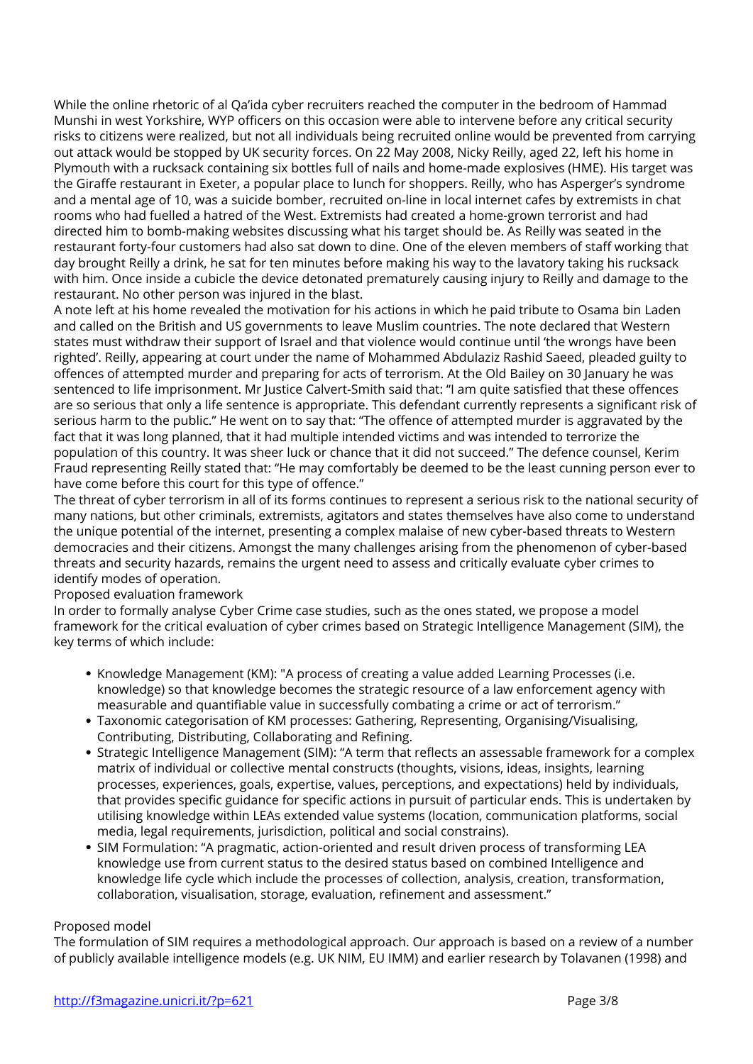While the online rhetoric of al Qa'ida cyber recruiters reached the computer in the bedroom of Hammad Munshi in west Yorkshire, WYP officers on this occasion were able to intervene before any critical security risks to citizens were realized, but not all individuals being recruited online would be prevented from carrying out attack would be stopped by UK security forces. On 22 May 2008, Nicky Reilly, aged 22, left his home in Plymouth with a rucksack containing six bottles full of nails and home-made explosives (HME). His target was the Giraffe restaurant in Exeter, a popular place to lunch for shoppers. Reilly, who has Asperger's syndrome and a mental age of 10, was a suicide bomber, recruited on-line in local internet cafes by extremists in chat rooms who had fuelled a hatred of the West. Extremists had created a home-grown terrorist and had directed him to bomb-making websites discussing what his target should be. As Reilly was seated in the restaurant forty-four customers had also sat down to dine. One of the eleven members of staff working that day brought Reilly a drink, he sat for ten minutes before making his way to the lavatory taking his rucksack with him. Once inside a cubicle the device detonated prematurely causing injury to Reilly and damage to the restaurant. No other person was injured in the blast.

A note left at his home revealed the motivation for his actions in which he paid tribute to Osama bin Laden and called on the British and US governments to leave Muslim countries. The note declared that Western states must withdraw their support of Israel and that violence would continue until 'the wrongs have been righted'. Reilly, appearing at court under the name of Mohammed Abdulaziz Rashid Saeed, pleaded guilty to offences of attempted murder and preparing for acts of terrorism. At the Old Bailey on 30 January he was sentenced to life imprisonment. Mr Justice Calvert-Smith said that: "I am quite satisfied that these offences are so serious that only a life sentence is appropriate. This defendant currently represents a significant risk of serious harm to the public." He went on to say that: "The offence of attempted murder is aggravated by the fact that it was long planned, that it had multiple intended victims and was intended to terrorize the population of this country. It was sheer luck or chance that it did not succeed." The defence counsel, Kerim Fraud representing Reilly stated that: "He may comfortably be deemed to be the least cunning person ever to have come before this court for this type of offence."

The threat of cyber terrorism in all of its forms continues to represent a serious risk to the national security of many nations, but other criminals, extremists, agitators and states themselves have also come to understand the unique potential of the internet, presenting a complex malaise of new cyber-based threats to Western democracies and their citizens. Amongst the many challenges arising from the phenomenon of cyber-based threats and security hazards, remains the urgent need to assess and critically evaluate cyber crimes to identify modes of operation.

**Proposed evaluation framework**

In order to formally analyse Cyber Crime case studies, such as the ones stated, we propose a model framework for the critical evaluation of cyber crimes based on Strategic Intelligence Management (SIM), the key terms of which include:

- Knowledge Management (KM): "A process of creating a value added Learning Processes (i.e. knowledge) so that knowledge becomes the strategic resource of a law enforcement agency with measurable and quantifiable value in successfully combating a crime or act of terrorism."
- Taxonomic categorisation of KM processes: Gathering, Representing, Organising/Visualising, Contributing, Distributing, Collaborating and Refining.
- Strategic Intelligence Management (SIM): "A term that reflects an assessable framework for a complex matrix of individual or collective mental constructs (thoughts, visions, ideas, insights, learning processes, experiences, goals, expertise, values, perceptions, and expectations) held by individuals, that provides specific guidance for specific actions in pursuit of particular ends. This is undertaken by utilising knowledge within LEAs extended value systems (location, communication platforms, social media, legal requirements, jurisdiction, political and social constrains).
- SIM Formulation: "A pragmatic, action-oriented and result driven process of transforming LEA knowledge use from current status to the desired status based on combined Intelligence and knowledge life cycle which include the processes of collection, analysis, creation, transformation, collaboration, visualisation, storage, evaluation, refinement and assessment."

## **Proposed model**

The formulation of SIM requires a methodological approach. Our approach is based on a review of a number of publicly available intelligence models (e.g. UK NIM, EU IMM) and earlier research by Tolavanen (1998) and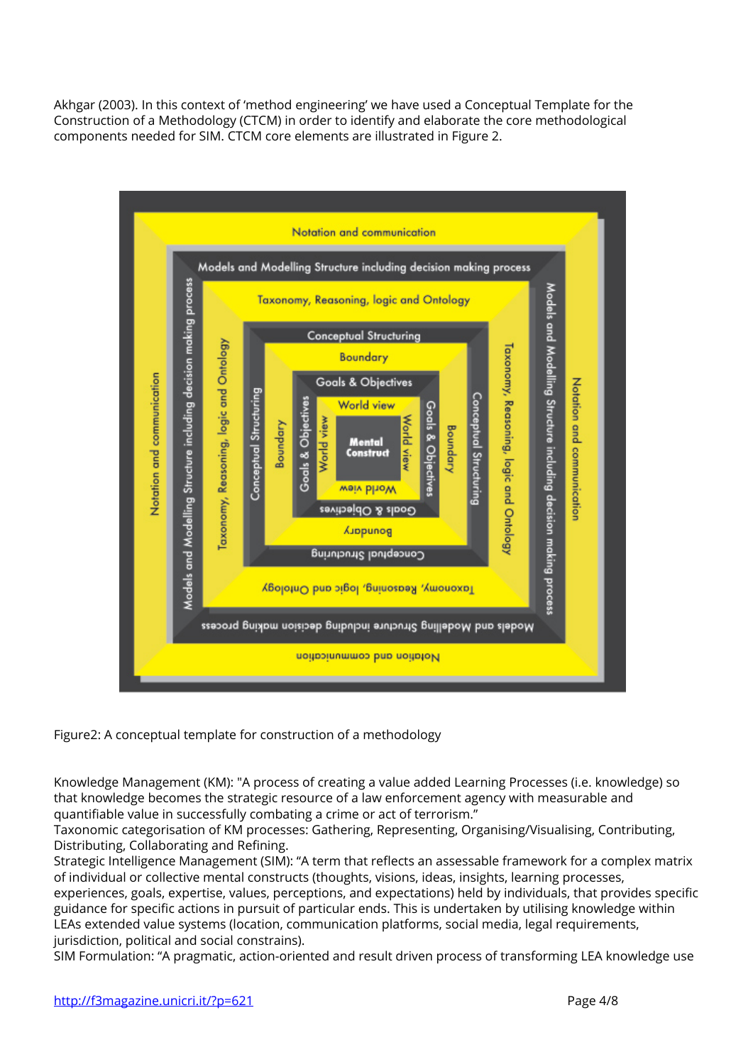Akhgar (2003). In this context of 'method engineering' we have used a Conceptual Template for the Construction of a Methodology (CTCM) in order to identify and elaborate the core methodological components needed for SIM. CTCM core elements are illustrated in Figure 2.



## **Figure2: A conceptual template for construction of a methodology**

Knowledge Management (KM): "A process of creating a value added Learning Processes (i.e. knowledge) so that knowledge becomes the strategic resource of a law enforcement agency with measurable and quantifiable value in successfully combating a crime or act of terrorism."

Taxonomic categorisation of KM processes: Gathering, Representing, Organising/Visualising, Contributing, Distributing, Collaborating and Refining.

Strategic Intelligence Management (SIM): "A term that reflects an assessable framework for a complex matrix of individual or collective mental constructs (thoughts, visions, ideas, insights, learning processes,

experiences, goals, expertise, values, perceptions, and expectations) held by individuals, that provides specific guidance for specific actions in pursuit of particular ends. This is undertaken by utilising knowledge within LEAs extended value systems (location, communication platforms, social media, legal requirements, jurisdiction, political and social constrains).

SIM Formulation: "A pragmatic, action-oriented and result driven process of transforming LEA knowledge use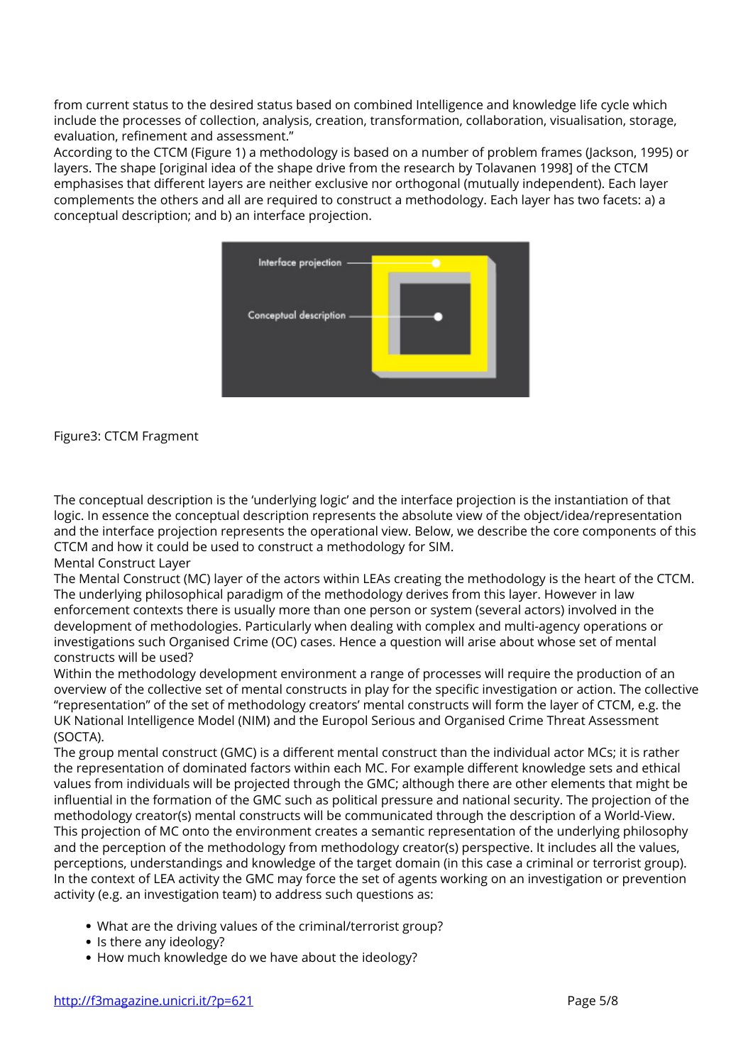from current status to the desired status based on combined Intelligence and knowledge life cycle which include the processes of collection, analysis, creation, transformation, collaboration, visualisation, storage, evaluation, refinement and assessment."

According to the CTCM (Figure 1) a methodology is based on a number of problem frames (Jackson, 1995) or layers. The shape [original idea of the shape drive from the research by Tolavanen 1998] of the CTCM emphasises that different layers are neither exclusive nor orthogonal (mutually independent). Each layer complements the others and all are required to construct a methodology. Each layer has two facets: a) a conceptual description; and b) an interface projection.



**Figure3: CTCM Fragment**

The conceptual description is the 'underlying logic' and the interface projection is the instantiation of that logic. In essence the conceptual description represents the absolute view of the object/idea/representation and the interface projection represents the operational view. Below, we describe the core components of this CTCM and how it could be used to construct a methodology for SIM.

Mental Construct Layer

The Mental Construct (MC) layer of the actors within LEAs creating the methodology is the heart of the CTCM. The underlying philosophical paradigm of the methodology derives from this layer. However in law enforcement contexts there is usually more than one person or system (several actors) involved in the development of methodologies. Particularly when dealing with complex and multi-agency operations or investigations such Organised Crime (OC) cases. Hence a question will arise about whose set of mental constructs will be used?

Within the methodology development environment a range of processes will require the production of an overview of the collective set of mental constructs in play for the specific investigation or action. The collective "representation" of the set of methodology creators' mental constructs will form the layer of CTCM, e.g. the UK National Intelligence Model (NIM) and the Europol Serious and Organised Crime Threat Assessment (SOCTA).

The group mental construct (GMC) is a different mental construct than the individual actor MCs; it is rather the representation of dominated factors within each MC. For example different knowledge sets and ethical values from individuals will be projected through the GMC; although there are other elements that might be influential in the formation of the GMC such as political pressure and national security. The projection of the methodology creator(s) mental constructs will be communicated through the description of a World-View. This projection of MC onto the environment creates a semantic representation of the underlying philosophy and the perception of the methodology from methodology creator(s) perspective. It includes all the values, perceptions, understandings and knowledge of the target domain (in this case a criminal or terrorist group). In the context of LEA activity the GMC may force the set of agents working on an investigation or prevention activity (e.g. an investigation team) to address such questions as:

- What are the driving values of the criminal/terrorist group?
- Is there any ideology?
- How much knowledge do we have about the ideology?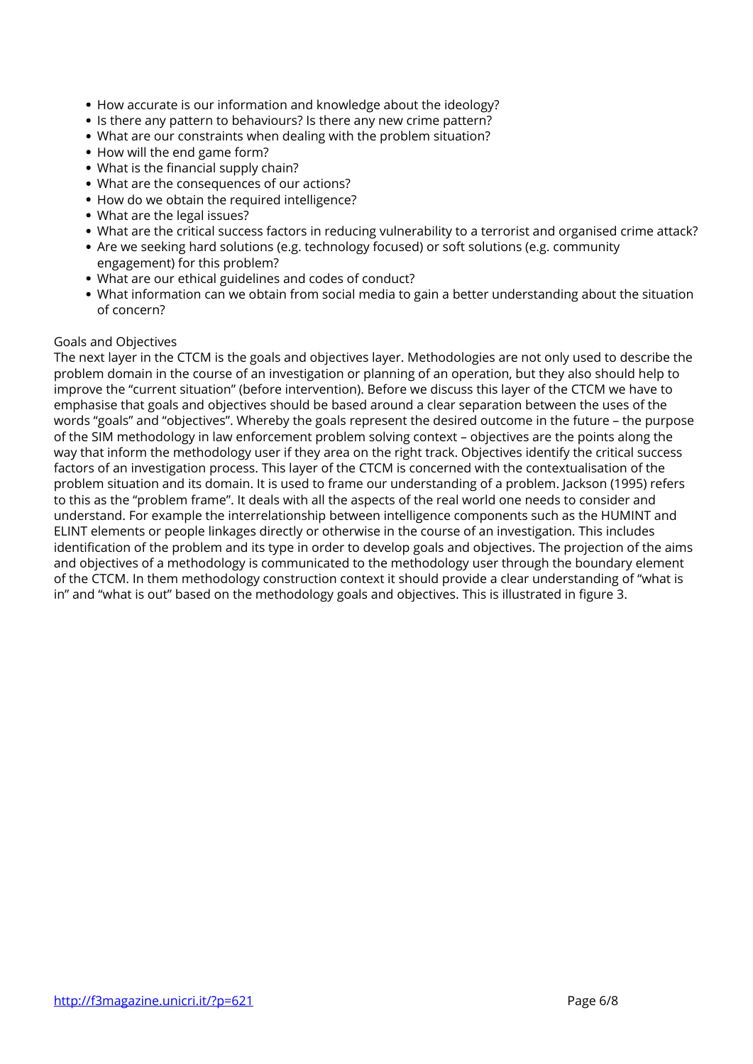- How accurate is our information and knowledge about the ideology?
- Is there any pattern to behaviours? Is there any new crime pattern?
- What are our constraints when dealing with the problem situation?
- How will the end game form?
- What is the financial supply chain?
- What are the consequences of our actions?
- How do we obtain the required intelligence?
- What are the legal issues?
- What are the critical success factors in reducing vulnerability to a terrorist and organised crime attack?
- Are we seeking hard solutions (e.g. technology focused) or soft solutions (e.g. community engagement) for this problem?
- What are our ethical guidelines and codes of conduct?
- What information can we obtain from social media to gain a better understanding about the situation of concern?

## **Goals and Objectives**

The next layer in the CTCM is the goals and objectives layer. Methodologies are not only used to describe the problem domain in the course of an investigation or planning of an operation, but they also should help to improve the "current situation" (before intervention). Before we discuss this layer of the CTCM we have to emphasise that goals and objectives should be based around a clear separation between the uses of the words "goals" and "objectives". Whereby the goals represent the desired outcome in the future – the purpose of the SIM methodology in law enforcement problem solving context – objectives are the points along the way that inform the methodology user if they area on the right track. Objectives identify the critical success factors of an investigation process. This layer of the CTCM is concerned with the contextualisation of the problem situation and its domain. It is used to frame our understanding of a problem. Jackson (1995) refers to this as the "problem frame". It deals with all the aspects of the real world one needs to consider and understand. For example the interrelationship between intelligence components such as the HUMINT and ELINT elements or people linkages directly or otherwise in the course of an investigation. This includes identification of the problem and its type in order to develop goals and objectives. The projection of the aims and objectives of a methodology is communicated to the methodology user through the boundary element of the CTCM. In them methodology construction context it should provide a clear understanding of "what is in" and "what is out" based on the methodology goals and objectives. This is illustrated in figure 3.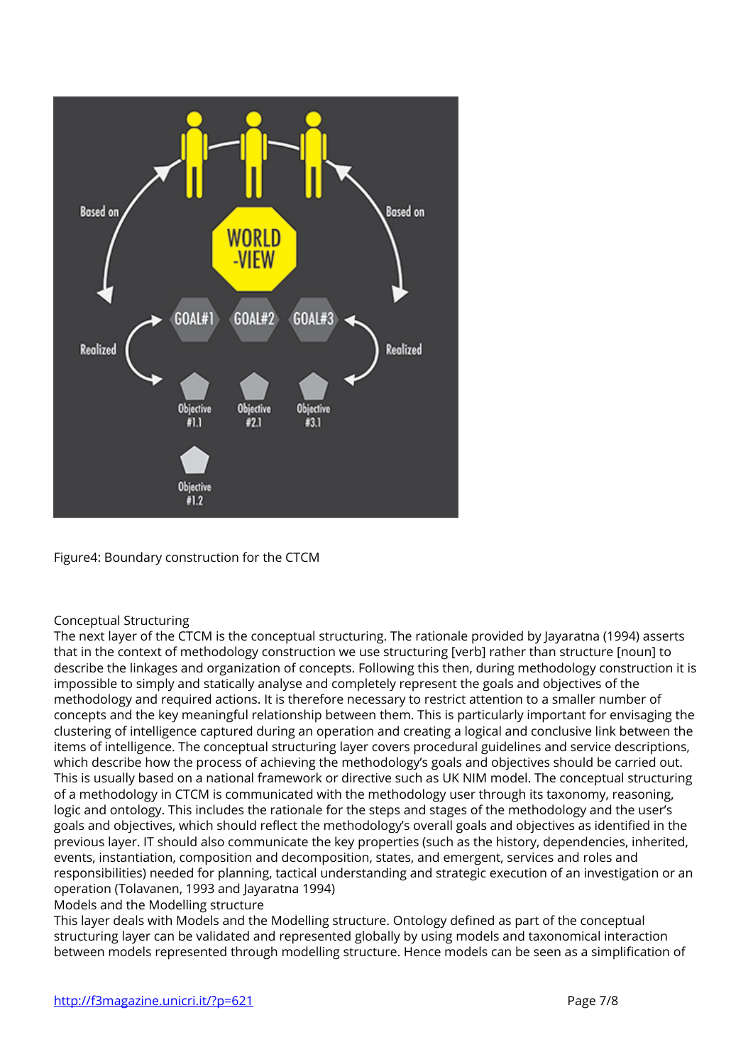

**Figure4: Boundary construction for the CTCM**

## **Conceptual Structuring**

The next layer of the CTCM is the conceptual structuring. The rationale provided by Jayaratna (1994) asserts that in the context of methodology construction we use structuring [verb] rather than structure [noun] to describe the linkages and organization of concepts. Following this then, during methodology construction it is impossible to simply and statically analyse and completely represent the goals and objectives of the methodology and required actions. It is therefore necessary to restrict attention to a smaller number of concepts and the key meaningful relationship between them. This is particularly important for envisaging the clustering of intelligence captured during an operation and creating a logical and conclusive link between the items of intelligence. The conceptual structuring layer covers procedural guidelines and service descriptions, which describe how the process of achieving the methodology's goals and objectives should be carried out. This is usually based on a national framework or directive such as UK NIM model. The conceptual structuring of a methodology in CTCM is communicated with the methodology user through its taxonomy, reasoning, logic and ontology. This includes the rationale for the steps and stages of the methodology and the user's goals and objectives, which should reflect the methodology's overall goals and objectives as identified in the previous layer. IT should also communicate the key properties (such as the history, dependencies, inherited, events, instantiation, composition and decomposition, states, and emergent, services and roles and responsibilities) needed for planning, tactical understanding and strategic execution of an investigation or an operation (Tolavanen, 1993 and Jayaratna 1994)

**Models and the Modelling structure**

This layer deals with Models and the Modelling structure. Ontology defined as part of the conceptual structuring layer can be validated and represented globally by using models and taxonomical interaction between models represented through modelling structure. Hence models can be seen as a simplification of